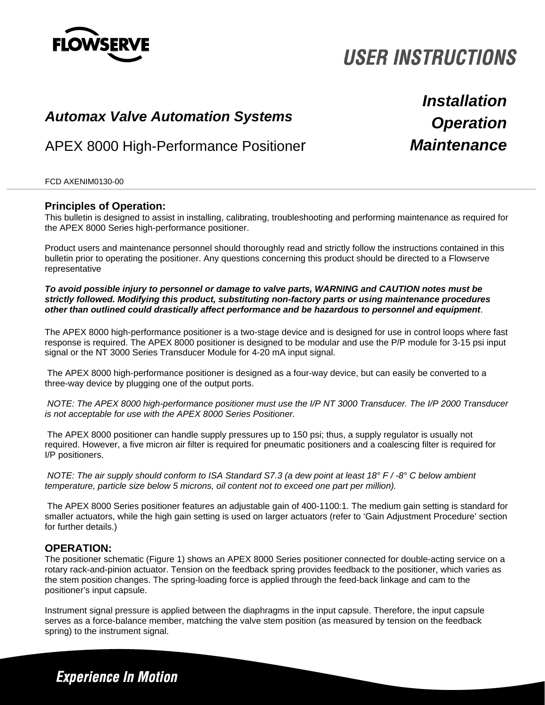

# **USER INSTRUCTIONS**

# *Operation Automax Valve Automation Systems*

APEX 8000 High-Performance Positioner

*Installation Maintenance*

### FCD AXENIM0130-00

### **Principles of Operation:**

This bulletin is designed to assist in installing, calibrating, troubleshooting and performing maintenance as required for the APEX 8000 Series high-performance positioner.

Product users and maintenance personnel should thoroughly read and strictly follow the instructions contained in this bulletin prior to operating the positioner. Any questions concerning this product should be directed to a Flowserve representative

#### *To avoid possible injury to personnel or damage to valve parts, WARNING and CAUTION notes must be strictly followed. Modifying this product, substituting non-factory parts or using maintenance procedures other than outlined could drastically affect performance and be hazardous to personnel and equipment*.

The APEX 8000 high-performance positioner is a two-stage device and is designed for use in control loops where fast response is required. The APEX 8000 positioner is designed to be modular and use the P/P module for 3-15 psi input signal or the NT 3000 Series Transducer Module for 4-20 mA input signal.

 The APEX 8000 high-performance positioner is designed as a four-way device, but can easily be converted to a three-way device by plugging one of the output ports.

*NOTE: The APEX 8000 high-performance positioner must use the I/P NT 3000 Transducer. The I/P 2000 Transducer is not acceptable for use with the APEX 8000 Series Positioner.* 

The APEX 8000 positioner can handle supply pressures up to 150 psi; thus, a supply regulator is usually not required. However, a five micron air filter is required for pneumatic positioners and a coalescing filter is required for I/P positioners.

*NOTE: The air supply should conform to ISA Standard S7.3 (a dew point at least 18° F / -8° C below ambient temperature, particle size below 5 microns, oil content not to exceed one part per million).* 

The APEX 8000 Series positioner features an adjustable gain of 400-1100:1. The medium gain setting is standard for smaller actuators, while the high gain setting is used on larger actuators (refer to 'Gain Adjustment Procedure' section for further details.)

# **OPERATION:**

The positioner schematic (Figure 1) shows an APEX 8000 Series positioner connected for double-acting service on a rotary rack-and-pinion actuator. Tension on the feedback spring provides feedback to the positioner, which varies as the stem position changes. The spring-loading force is applied through the feed-back linkage and cam to the positioner's input capsule.

Instrument signal pressure is applied between the diaphragms in the input capsule. Therefore, the input capsule serves as a force-balance member, matching the valve stem position (as measured by tension on the feedback spring) to the instrument signal.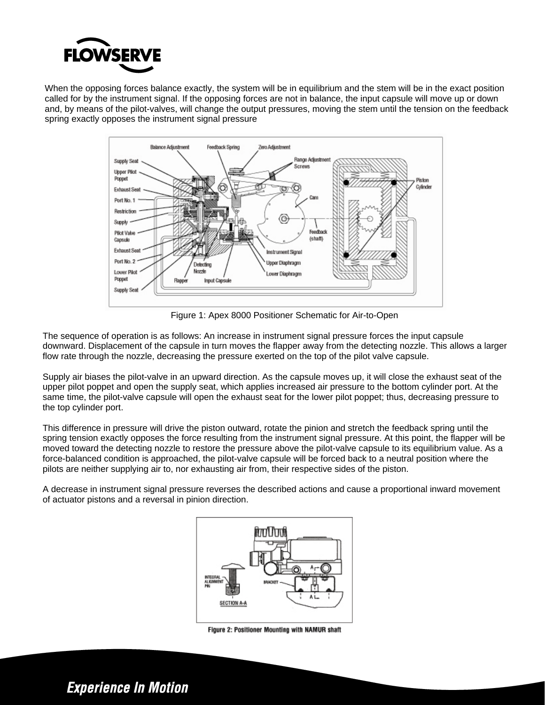

When the opposing forces balance exactly, the system will be in equilibrium and the stem will be in the exact position called for by the instrument signal. If the opposing forces are not in balance, the input capsule will move up or down and, by means of the pilot-valves, will change the output pressures, moving the stem until the tension on the feedback spring exactly opposes the instrument signal pressure



Figure 1: Apex 8000 Positioner Schematic for Air-to-Open

The sequence of operation is as follows: An increase in instrument signal pressure forces the input capsule downward. Displacement of the capsule in turn moves the flapper away from the detecting nozzle. This allows a larger flow rate through the nozzle, decreasing the pressure exerted on the top of the pilot valve capsule.

Supply air biases the pilot-valve in an upward direction. As the capsule moves up, it will close the exhaust seat of the upper pilot poppet and open the supply seat, which applies increased air pressure to the bottom cylinder port. At the same time, the pilot-valve capsule will open the exhaust seat for the lower pilot poppet; thus, decreasing pressure to the top cylinder port.

This difference in pressure will drive the piston outward, rotate the pinion and stretch the feedback spring until the spring tension exactly opposes the force resulting from the instrument signal pressure. At this point, the flapper will be moved toward the detecting nozzle to restore the pressure above the pilot-valve capsule to its equilibrium value. As a force-balanced condition is approached, the pilot-valve capsule will be forced back to a neutral position where the pilots are neither supplying air to, nor exhausting air from, their respective sides of the piston.

A decrease in instrument signal pressure reverses the described actions and cause a proportional inward movement of actuator pistons and a reversal in pinion direction.



Figure 2: Positioner Mounting with NAMUR shaft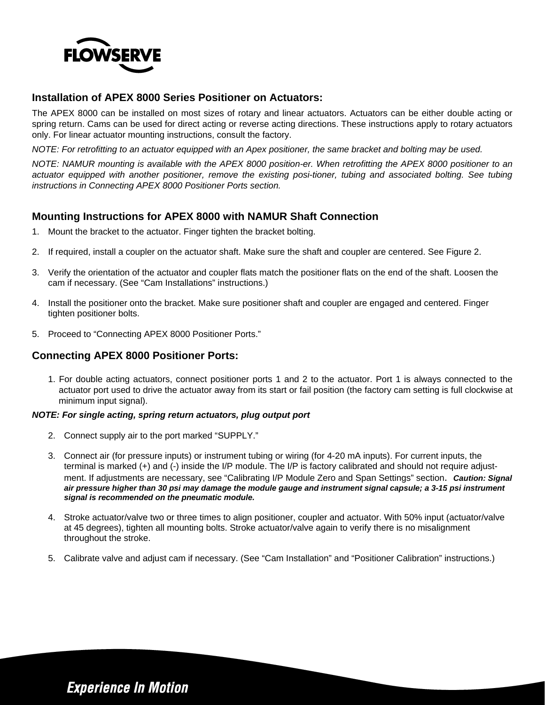

# **Installation of APEX 8000 Series Positioner on Actuators:**

The APEX 8000 can be installed on most sizes of rotary and linear actuators. Actuators can be either double acting or spring return. Cams can be used for direct acting or reverse acting directions. These instructions apply to rotary actuators only. For linear actuator mounting instructions, consult the factory.

*NOTE: For retrofitting to an actuator equipped with an Apex positioner, the same bracket and bolting may be used.* 

*NOTE: NAMUR mounting is available with the APEX 8000 position-er. When retrofitting the APEX 8000 positioner to an actuator equipped with another positioner, remove the existing posi-tioner, tubing and associated bolting. See tubing instructions in Connecting APEX 8000 Positioner Ports section.* 

# **Mounting Instructions for APEX 8000 with NAMUR Shaft Connection**

- 1. Mount the bracket to the actuator. Finger tighten the bracket bolting.
- 2. If required, install a coupler on the actuator shaft. Make sure the shaft and coupler are centered. See Figure 2.
- 3. Verify the orientation of the actuator and coupler flats match the positioner flats on the end of the shaft. Loosen the cam if necessary. (See "Cam Installations" instructions.)
- 4. Install the positioner onto the bracket. Make sure positioner shaft and coupler are engaged and centered. Finger tighten positioner bolts.
- 5. Proceed to "Connecting APEX 8000 Positioner Ports."

### **Connecting APEX 8000 Positioner Ports:**

1. For double acting actuators, connect positioner ports 1 and 2 to the actuator. Port 1 is always connected to the actuator port used to drive the actuator away from its start or fail position (the factory cam setting is full clockwise at minimum input signal).

### *NOTE: For single acting, spring return actuators, plug output port*

- 2. Connect supply air to the port marked "SUPPLY."
- 3. Connect air (for pressure inputs) or instrument tubing or wiring (for 4-20 mA inputs). For current inputs, the terminal is marked (+) and (-) inside the I/P module. The I/P is factory calibrated and should not require adjustment. If adjustments are necessary, see "Calibrating I/P Module Zero and Span Settings" section. *Caution: Signal air pressure higher than 30 psi may damage the module gauge and instrument signal capsule; a 3-15 psi instrument signal is recommended on the pneumatic module.*
- 4. Stroke actuator/valve two or three times to align positioner, coupler and actuator. With 50% input (actuator/valve at 45 degrees), tighten all mounting bolts. Stroke actuator/valve again to verify there is no misalignment throughout the stroke.
- 5. Calibrate valve and adjust cam if necessary. (See "Cam Installation" and "Positioner Calibration" instructions.)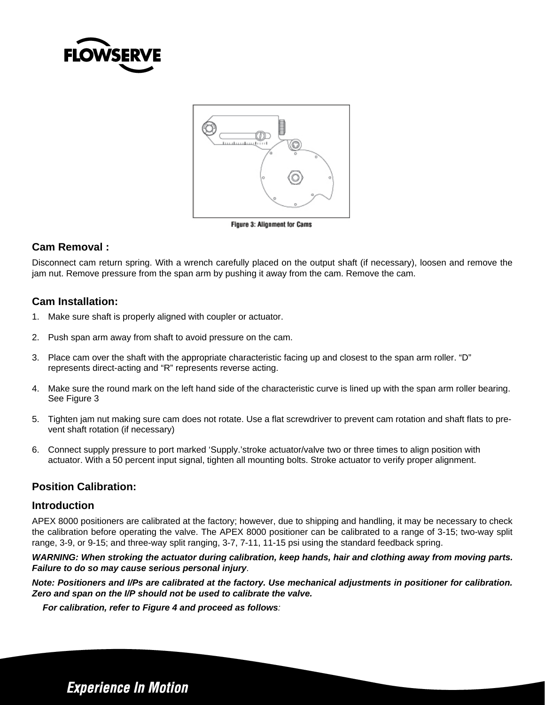



#### Figure 3: Alignment for Cams

# **Cam Removal :**

Disconnect cam return spring. With a wrench carefully placed on the output shaft (if necessary), loosen and remove the jam nut. Remove pressure from the span arm by pushing it away from the cam. Remove the cam.

# **Cam Installation:**

- 1. Make sure shaft is properly aligned with coupler or actuator.
- 2. Push span arm away from shaft to avoid pressure on the cam.
- 3. Place cam over the shaft with the appropriate characteristic facing up and closest to the span arm roller. "D" represents direct-acting and "R" represents reverse acting.
- 4. Make sure the round mark on the left hand side of the characteristic curve is lined up with the span arm roller bearing. See Figure 3
- 5. Tighten jam nut making sure cam does not rotate. Use a flat screwdriver to prevent cam rotation and shaft flats to prevent shaft rotation (if necessary)
- 6. Connect supply pressure to port marked 'Supply.'stroke actuator/valve two or three times to align position with actuator. With a 50 percent input signal, tighten all mounting bolts. Stroke actuator to verify proper alignment.

# **Position Calibration:**

### **Introduction**

APEX 8000 positioners are calibrated at the factory; however, due to shipping and handling, it may be necessary to check the calibration before operating the valve. The APEX 8000 positioner can be calibrated to a range of 3-15; two-way split range, 3-9, or 9-15; and three-way split ranging, 3-7, 7-11, 11-15 psi using the standard feedback spring.

*WARNING: When stroking the actuator during calibration, keep hands, hair and clothing away from moving parts. Failure to do so may cause serious personal injury.* 

*Note: Positioners and I/Ps are calibrated at the factory. Use mechanical adjustments in positioner for calibration. Zero and span on the I/P should not be used to calibrate the valve.* 

*For calibration, refer to Figure 4 and proceed as follows:*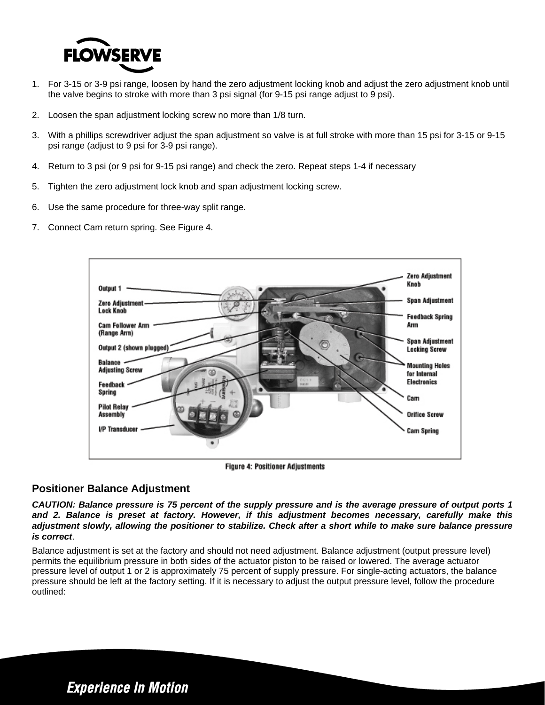

- 1. For 3-15 or 3-9 psi range, loosen by hand the zero adjustment locking knob and adjust the zero adjustment knob until the valve begins to stroke with more than 3 psi signal (for 9-15 psi range adjust to 9 psi).
- 2. Loosen the span adjustment locking screw no more than 1/8 turn.
- 3. With a phillips screwdriver adjust the span adjustment so valve is at full stroke with more than 15 psi for 3-15 or 9-15 psi range (adjust to 9 psi for 3-9 psi range).
- 4. Return to 3 psi (or 9 psi for 9-15 psi range) and check the zero. Repeat steps 1-4 if necessary
- 5. Tighten the zero adjustment lock knob and span adjustment locking screw.
- 6. Use the same procedure for three-way split range.
- 7. Connect Cam return spring. See Figure 4.



**Figure 4: Positioner Adjustments** 

# **Positioner Balance Adjustment**

*CAUTION: Balance pressure is 75 percent of the supply pressure and is the average pressure of output ports 1 and 2. Balance is preset at factory. However, if this adjustment becomes necessary, carefully make this adjustment slowly, allowing the positioner to stabilize. Check after a short while to make sure balance pressure is correct*.

Balance adjustment is set at the factory and should not need adjustment. Balance adjustment (output pressure level) permits the equilibrium pressure in both sides of the actuator piston to be raised or lowered. The average actuator pressure level of output 1 or 2 is approximately 75 percent of supply pressure. For single-acting actuators, the balance pressure should be left at the factory setting. If it is necessary to adjust the output pressure level, follow the procedure outlined: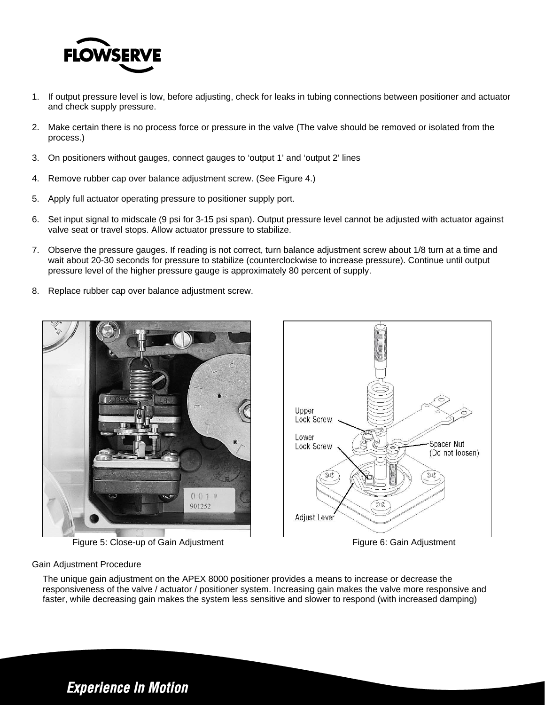

- 1. If output pressure level is low, before adjusting, check for leaks in tubing connections between positioner and actuator and check supply pressure.
- 2. Make certain there is no process force or pressure in the valve (The valve should be removed or isolated from the process.)
- 3. On positioners without gauges, connect gauges to 'output 1' and 'output 2' lines
- 4. Remove rubber cap over balance adjustment screw. (See Figure 4.)
- 5. Apply full actuator operating pressure to positioner supply port.
- 6. Set input signal to midscale (9 psi for 3-15 psi span). Output pressure level cannot be adjusted with actuator against valve seat or travel stops. Allow actuator pressure to stabilize.
- 7. Observe the pressure gauges. If reading is not correct, turn balance adjustment screw about 1/8 turn at a time and wait about 20-30 seconds for pressure to stabilize (counterclockwise to increase pressure). Continue until output pressure level of the higher pressure gauge is approximately 80 percent of supply.
- 8. Replace rubber cap over balance adjustment screw.



**Figure 5: Close-up of Gain Adjustment Figure 6: Gain Adjustment Figure 6: Gain Adjustment** 



### Gain Adjustment Procedure

The unique gain adjustment on the APEX 8000 positioner provides a means to increase or decrease the responsiveness of the valve / actuator / positioner system. Increasing gain makes the valve more responsive and faster, while decreasing gain makes the system less sensitive and slower to respond (with increased damping)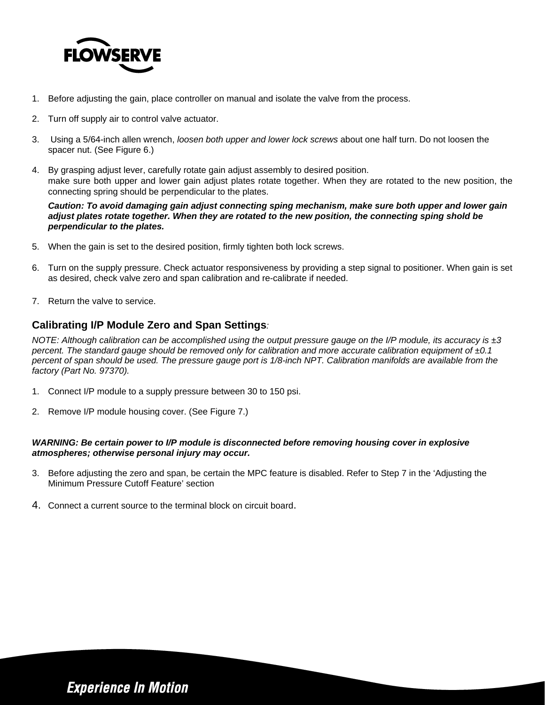

- 1. Before adjusting the gain, place controller on manual and isolate the valve from the process.
- 2. Turn off supply air to control valve actuator.
- 3. Using a 5/64-inch allen wrench, *loosen both upper and lower lock screws* about one half turn. Do not loosen the spacer nut. (See Figure 6.)
- 4. By grasping adjust lever, carefully rotate gain adjust assembly to desired position. make sure both upper and lower gain adjust plates rotate together. When they are rotated to the new position, the connecting spring should be perpendicular to the plates.

*Caution: To avoid damaging gain adjust connecting sping mechanism, make sure both upper and lower gain adjust plates rotate together. When they are rotated to the new position, the connecting sping shold be perpendicular to the plates.* 

- 5. When the gain is set to the desired position, firmly tighten both lock screws.
- 6. Turn on the supply pressure. Check actuator responsiveness by providing a step signal to positioner. When gain is set as desired, check valve zero and span calibration and re-calibrate if needed.
- 7. Return the valve to service.

# **Calibrating I/P Module Zero and Span Settings***:*

*NOTE: Although calibration can be accomplished using the output pressure gauge on the I/P module, its accuracy is ±3 percent. The standard gauge should be removed only for calibration and more accurate calibration equipment of ±0.1 percent of span should be used. The pressure gauge port is 1/8-inch NPT. Calibration manifolds are available from the factory (Part No. 97370).* 

- 1. Connect I/P module to a supply pressure between 30 to 150 psi.
- 2. Remove I/P module housing cover. (See Figure 7.)

### *WARNING: Be certain power to I/P module is disconnected before removing housing cover in explosive atmospheres; otherwise personal injury may occur.*

- 3. Before adjusting the zero and span, be certain the MPC feature is disabled. Refer to Step 7 in the 'Adjusting the Minimum Pressure Cutoff Feature' section
- 4. Connect a current source to the terminal block on circuit board.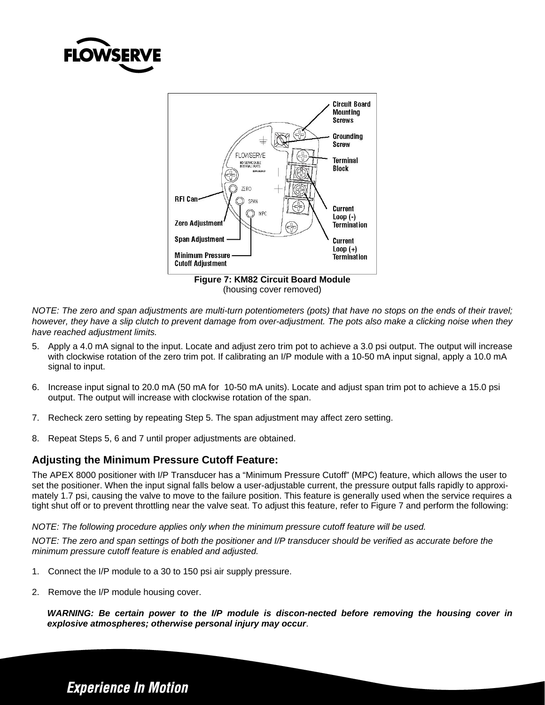



(housing cover removed)

*NOTE: The zero and span adjustments are multi-turn potentiometers (pots) that have no stops on the ends of their travel; however, they have a slip clutch to prevent damage from over-adjustment. The pots also make a clicking noise when they have reached adjustment limits.* 

- 5. Apply a 4.0 mA signal to the input. Locate and adjust zero trim pot to achieve a 3.0 psi output. The output will increase with clockwise rotation of the zero trim pot. If calibrating an I/P module with a 10-50 mA input signal, apply a 10.0 mA signal to input.
- 6. Increase input signal to 20.0 mA (50 mA for 10-50 mA units). Locate and adjust span trim pot to achieve a 15.0 psi output. The output will increase with clockwise rotation of the span.
- 7. Recheck zero setting by repeating Step 5. The span adjustment may affect zero setting.
- 8. Repeat Steps 5, 6 and 7 until proper adjustments are obtained.

# **Adjusting the Minimum Pressure Cutoff Feature:**

The APEX 8000 positioner with I/P Transducer has a "Minimum Pressure Cutoff" (MPC) feature, which allows the user to set the positioner. When the input signal falls below a user-adjustable current, the pressure output falls rapidly to approximately 1.7 psi, causing the valve to move to the failure position. This feature is generally used when the service requires a tight shut off or to prevent throttling near the valve seat. To adjust this feature, refer to Figure 7 and perform the following:

### *NOTE: The following procedure applies only when the minimum pressure cutoff feature will be used.*

*NOTE: The zero and span settings of both the positioner and I/P transducer should be verified as accurate before the minimum pressure cutoff feature is enabled and adjusted.* 

- 1. Connect the I/P module to a 30 to 150 psi air supply pressure.
- 2. Remove the I/P module housing cover.

*WARNING: Be certain power to the I/P module is discon-nected before removing the housing cover in explosive atmospheres; otherwise personal injury may occur*.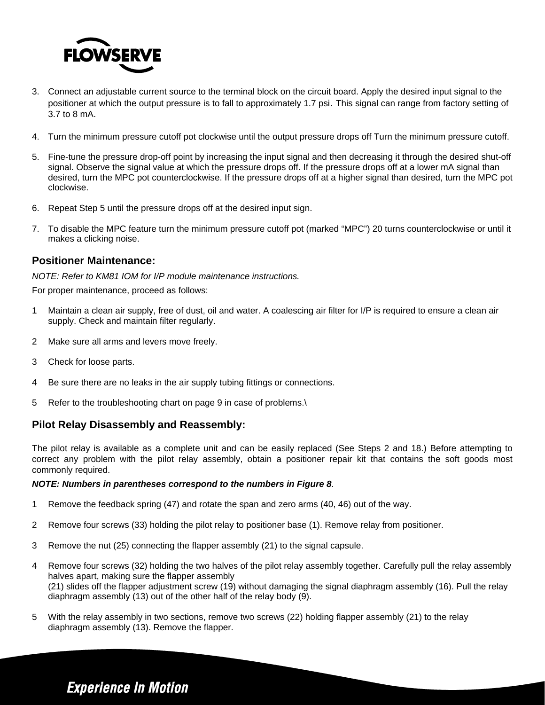

- 3. Connect an adjustable current source to the terminal block on the circuit board. Apply the desired input signal to the positioner at which the output pressure is to fall to approximately 1.7 psi. This signal can range from factory setting of 3.7 to 8 mA.
- 4. Turn the minimum pressure cutoff pot clockwise until the output pressure drops off Turn the minimum pressure cutoff.
- 5. Fine-tune the pressure drop-off point by increasing the input signal and then decreasing it through the desired shut-off signal. Observe the signal value at which the pressure drops off. If the pressure drops off at a lower mA signal than desired, turn the MPC pot counterclockwise. If the pressure drops off at a higher signal than desired, turn the MPC pot clockwise.
- 6. Repeat Step 5 until the pressure drops off at the desired input sign.
- 7. To disable the MPC feature turn the minimum pressure cutoff pot (marked "MPC") 20 turns counterclockwise or until it makes a clicking noise.

### **Positioner Maintenance:**

*NOTE: Refer to KM81 IOM for I/P module maintenance instructions.* 

For proper maintenance, proceed as follows:

- 1 Maintain a clean air supply, free of dust, oil and water. A coalescing air filter for I/P is required to ensure a clean air supply. Check and maintain filter regularly.
- 2 Make sure all arms and levers move freely.
- 3 Check for loose parts.
- 4 Be sure there are no leaks in the air supply tubing fittings or connections.
- 5 Refer to the troubleshooting chart on page 9 in case of problems.\

### **Pilot Relay Disassembly and Reassembly:**

The pilot relay is available as a complete unit and can be easily replaced (See Steps 2 and 18.) Before attempting to correct any problem with the pilot relay assembly, obtain a positioner repair kit that contains the soft goods most commonly required.

#### *NOTE: Numbers in parentheses correspond to the numbers in Figure 8.*

- 1 Remove the feedback spring (47) and rotate the span and zero arms (40, 46) out of the way.
- 2 Remove four screws (33) holding the pilot relay to positioner base (1). Remove relay from positioner.
- 3 Remove the nut (25) connecting the flapper assembly (21) to the signal capsule.
- 4 Remove four screws (32) holding the two halves of the pilot relay assembly together. Carefully pull the relay assembly halves apart, making sure the flapper assembly (21) slides off the flapper adjustment screw (19) without damaging the signal diaphragm assembly (16). Pull the relay diaphragm assembly (13) out of the other half of the relay body (9).
- 5 With the relay assembly in two sections, remove two screws (22) holding flapper assembly (21) to the relay diaphragm assembly (13). Remove the flapper.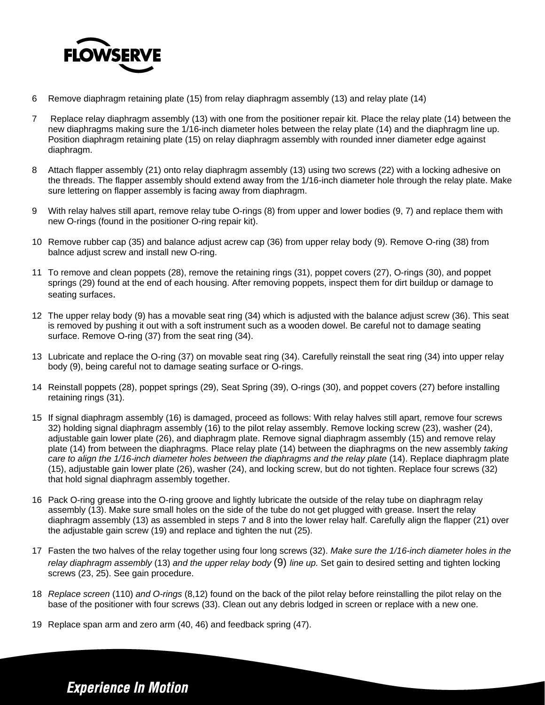

- 6 Remove diaphragm retaining plate (15) from relay diaphragm assembly (13) and relay plate (14)
- 7 Replace relay diaphragm assembly (13) with one from the positioner repair kit. Place the relay plate (14) between the new diaphragms making sure the 1/16-inch diameter holes between the relay plate (14) and the diaphragm line up. Position diaphragm retaining plate (15) on relay diaphragm assembly with rounded inner diameter edge against diaphragm.
- 8 Attach flapper assembly (21) onto relay diaphragm assembly (13) using two screws (22) with a locking adhesive on the threads. The flapper assembly should extend away from the 1/16-inch diameter hole through the relay plate. Make sure lettering on flapper assembly is facing away from diaphragm.
- 9 With relay halves still apart, remove relay tube O-rings (8) from upper and lower bodies (9, 7) and replace them with new O-rings (found in the positioner O-ring repair kit).
- 10 Remove rubber cap (35) and balance adjust acrew cap (36) from upper relay body (9). Remove O-ring (38) from balnce adjust screw and install new O-ring.
- 11 To remove and clean poppets (28), remove the retaining rings (31), poppet covers (27), O-rings (30), and poppet springs (29) found at the end of each housing. After removing poppets, inspect them for dirt buildup or damage to seating surfaces.
- 12 The upper relay body (9) has a movable seat ring (34) which is adjusted with the balance adjust screw (36). This seat is removed by pushing it out with a soft instrument such as a wooden dowel. Be careful not to damage seating surface. Remove O-ring (37) from the seat ring (34).
- 13 Lubricate and replace the O-ring (37) on movable seat ring (34). Carefully reinstall the seat ring (34) into upper relay body (9), being careful not to damage seating surface or O-rings.
- 14 Reinstall poppets (28), poppet springs (29), Seat Spring (39), O-rings (30), and poppet covers (27) before installing retaining rings (31).
- 15 If signal diaphragm assembly (16) is damaged, proceed as follows: With relay halves still apart, remove four screws 32) holding signal diaphragm assembly (16) to the pilot relay assembly. Remove locking screw (23), washer (24), adjustable gain lower plate (26), and diaphragm plate. Remove signal diaphragm assembly (15) and remove relay plate (14) from between the diaphragms. Place relay plate (14) between the diaphragms on the new assembly *taking care to align the 1/16-inch diameter holes between the diaphragms and the relay plate* (14). Replace diaphragm plate (15), adjustable gain lower plate (26), washer (24), and locking screw, but do not tighten. Replace four screws (32) that hold signal diaphragm assembly together.
- 16 Pack O-ring grease into the O-ring groove and lightly lubricate the outside of the relay tube on diaphragm relay assembly (13). Make sure small holes on the side of the tube do not get plugged with grease. Insert the relay diaphragm assembly (13) as assembled in steps 7 and 8 into the lower relay half. Carefully align the flapper (21) over the adjustable gain screw (19) and replace and tighten the nut (25).
- 17 Fasten the two halves of the relay together using four long screws (32). *Make sure the 1/16-inch diameter holes in the relay diaphragm assembly* (13) *and the upper relay body* (9) *line up.* Set gain to desired setting and tighten locking screws (23, 25). See gain procedure.
- 18 *Replace screen* (110) *and O-rings* (8,12) found on the back of the pilot relay before reinstalling the pilot relay on the base of the positioner with four screws (33). Clean out any debris lodged in screen or replace with a new one.
- 19 Replace span arm and zero arm (40, 46) and feedback spring (47).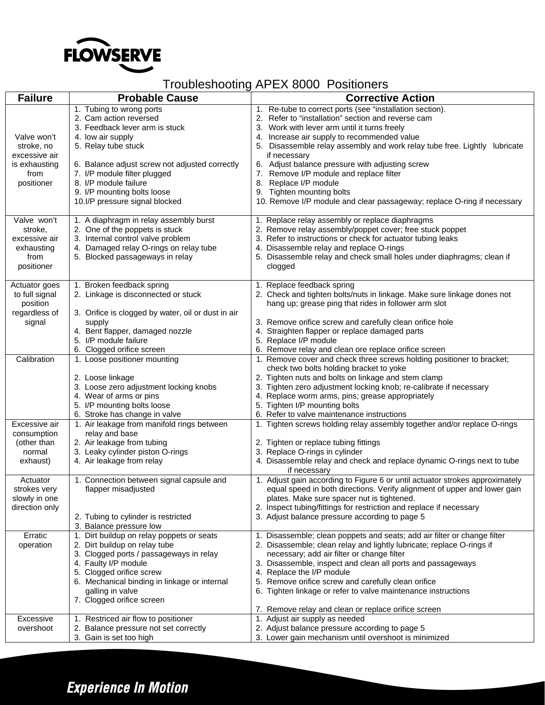

# Troubleshooting APEX 8000 Positioners

| <b>Failure</b>                                                                    | <b>Probable Cause</b>                                                                                                                                                                                                                                                                                        | <b>Corrective Action</b>                                                                                                                                                                                                                                                                                                                                                                                                                                                                                                                  |
|-----------------------------------------------------------------------------------|--------------------------------------------------------------------------------------------------------------------------------------------------------------------------------------------------------------------------------------------------------------------------------------------------------------|-------------------------------------------------------------------------------------------------------------------------------------------------------------------------------------------------------------------------------------------------------------------------------------------------------------------------------------------------------------------------------------------------------------------------------------------------------------------------------------------------------------------------------------------|
| Valve won't<br>stroke, no<br>excessive air<br>is exhausting<br>from<br>positioner | 1. Tubing to wrong ports<br>2. Cam action reversed<br>3. Feedback lever arm is stuck<br>4. low air supply<br>5. Relay tube stuck<br>6. Balance adjust screw not adjusted correctly<br>7. I/P module filter plugged<br>8. I/P module failure<br>9. I/P mounting bolts loose<br>10.I/P pressure signal blocked | 1. Re-tube to correct ports (see "installation section).<br>2. Refer to "installation" section and reverse cam<br>3. Work with lever arm until it turns freely<br>4. Increase air supply to recommended value<br>5. Disassemble relay assembly and work relay tube free. Lightly lubricate<br>if necessary<br>6. Adjust balance pressure with adjusting screw<br>7. Remove I/P module and replace filter<br>8. Replace I/P module<br>9. Tighten mounting bolts<br>10. Remove I/P module and clear passageway; replace O-ring if necessary |
| Valve won't<br>stroke,<br>excessive air<br>exhausting<br>from<br>positioner       | 1. A diaphragm in relay assembly burst<br>2. One of the poppets is stuck<br>3. Internal control valve problem<br>4. Damaged relay O-rings on relay tube<br>5. Blocked passageways in relay                                                                                                                   | 1. Replace relay assembly or replace diaphragms<br>2. Remove relay assembly/poppet cover; free stuck poppet<br>3. Refer to instructions or check for actuator tubing leaks<br>4. Disassemble relay and replace O-rings<br>5. Disassemble relay and check small holes under diaphragms; clean if<br>clogged                                                                                                                                                                                                                                |
| Actuator goes<br>to full signal<br>position<br>regardless of<br>signal            | 1. Broken feedback spring<br>2. Linkage is disconnected or stuck<br>3. Orifice is clogged by water, oil or dust in air<br>supply<br>4. Bent flapper, damaged nozzle<br>5. I/P module failure<br>6. Clogged orifice screen                                                                                    | 1. Replace feedback spring<br>2. Check and tighten bolts/nuts in linkage. Make sure linkage dones not<br>hang up; grease ping that rides in follower arm slot<br>3. Remove orifice screw and carefully clean orifice hole<br>4. Straighten flapper or replace damaged parts<br>5. Replace I/P module<br>6. Remove relay and clean ore replace orifice screen                                                                                                                                                                              |
| Calibration                                                                       | 1. Loose positioner mounting<br>2. Loose linkage<br>3. Loose zero adjustment locking knobs<br>4. Wear of arms or pins<br>5. I/P mounting bolts loose<br>6. Stroke has change in valve                                                                                                                        | 1. Remove cover and check three screws holding positioner to bracket;<br>check two bolts holding bracket to yoke<br>2. Tighten nuts and bolts on linkage and stem clamp<br>3. Tighten zero adjustment locking knob; re-calibrate if necessary<br>4. Replace worm arms, pins; grease appropriately<br>5. Tighten I/P mounting bolts<br>6. Refer to valve maintenance instructions                                                                                                                                                          |
| Excessive air<br>consumption<br>(other than<br>normal<br>exhaust)                 | 1. Air leakage from manifold rings between<br>relay and base<br>2. Air leakage from tubing<br>3. Leaky cylinder piston O-rings<br>4. Air leakage from relay                                                                                                                                                  | 1. Tighten screws holding relay assembly together and/or replace O-rings<br>2. Tighten or replace tubing fittings<br>3. Replace O-rings in cylinder<br>4. Disassemble relay and check and replace dynamic O-rings next to tube<br>if necessary                                                                                                                                                                                                                                                                                            |
| Actuator<br>strokes very<br>slowly in one<br>direction only                       | 1. Connection between signal capsule and<br>flapper misadjusted<br>2. Tubing to cylinder is restricted<br>3. Balance pressure low                                                                                                                                                                            | 1. Adjust gain according to Figure 6 or until actuator strokes approximately<br>equal speed in both directions. Verify alignment of upper and lower gain<br>plates. Make sure spacer nut is tightened.<br>2. Inspect tubing/fittings for restriction and replace if necessary<br>3. Adjust balance pressure according to page 5                                                                                                                                                                                                           |
| Erratic<br>operation                                                              | 1. Dirt buildup on relay poppets or seats<br>2. Dirt buildup on relay tube<br>3. Clogged ports / passageways in relay<br>4. Faulty I/P module<br>5. Clogged orifice screw<br>6. Mechanical binding in linkage or internal<br>galling in valve<br>7. Clogged orifice screen                                   | 1. Disassemble; clean poppets and seats; add air filter or change filter<br>2. Disassemble; clean relay and lightly lubricate; replace O-rings if<br>necessary; add air filter or change filter<br>3. Disassemble, inspect and clean all ports and passageways<br>4. Replace the I/P module<br>5. Remove orifice screw and carefully clean orifice<br>6. Tighten linkage or refer to valve maintenance instructions<br>7. Remove relay and clean or replace orifice screen                                                                |
| Excessive<br>overshoot                                                            | 1. Restriced air flow to positioner<br>2. Balance pressure not set correctly<br>3. Gain is set too high                                                                                                                                                                                                      | 1. Adjust air supply as needed<br>2. Adjust balance pressure according to page 5<br>3. Lower gain mechanism until overshoot is minimized                                                                                                                                                                                                                                                                                                                                                                                                  |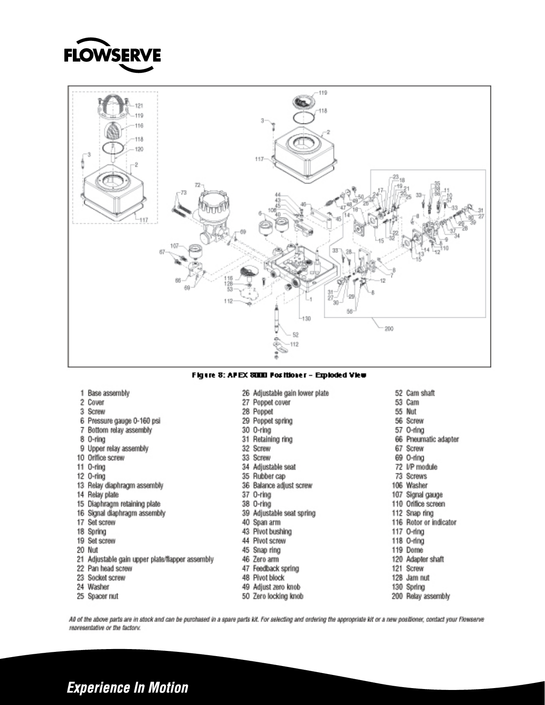



#### Figure 8: APEX 8000 For itioner - Exploded View

27 Poppet cover

29 Poppet spring

31 Retaining ring

34 Adjustable seat

36 Balance adjust screw

39 Adjustable seat spring

35 Rubber cap

28 Poppet

30 O-ring

32 Screw

33 Screw

37 O-ring

38 O-ring

40 Span arm

43 Pivot bushing

44 Pivot screw

45 Snap ring

46 Zero arm

48 Pivot block

26 Adjustable gain lower plate

| Base assembly |  |
|---------------|--|
|---------------|--|

- 2 Cover
- 3 Screw
- 6 Pressure gauge 0-160 psi
- 7 Bottom relay assembly
- 8 O-ring
- 9 Upper relay assembly
- 10 Orifice screw
- 11 O-ring
- 12 0-ring
- 13 Relay diaphragm assembly
- 14 Relay plate
- 15 Diaphragm retaining plate
- 16 Signal diaphragm assembly
- 17 Set screw
- 18 Spring
- 19 Set screw
- 20 Nut
- 
- 21 Adjustable gain upper plate/flapper assembly 22 Pan head screw
- 23 Socket screw
- 
- 24 Washer
- 25 Spacer nut

49 Adjust zero knob 50 Zero locking knob

47 Feedback spring

52 Cam shaft 53 Cam 55 Nut 56 Screw 57 O-ring 66 Pneumatic adapter 67 Screw 69 O-ring 72 I/P module 73 Screws 106 Washer 107 Signal gauge 110 Orifice screen 112 Snap ring 116 Rotor or indicator 117 O-ring 118 O-ring 119 Dome 120 Adapter shaft 121 Screw 128 Jam nut 130 Spring 200 Relay assembly

All of the above parts are in stock and can be purchased in a spare parts kit. For selecting and ordering the appropriate kit or a new positioner, contact your Flowserve reoresentative or the factory.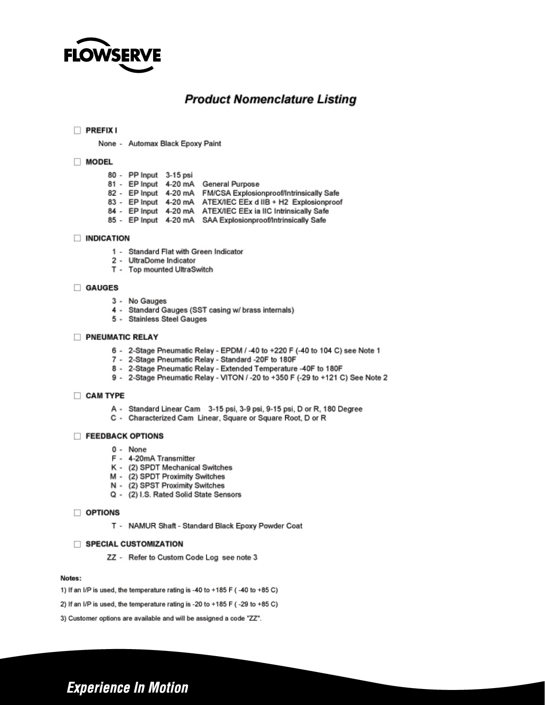

# **Product Nomenclature Listing**

#### $\Box$  PREFIX I

None - Automax Black Epoxy Paint

#### MODEL

- 80 PP Input 3-15 psi
- 81 EP Input 4-20 mA General Purpose
- 82 EP Input 4-20 mA FM/CSA Explosionproof/Intrinsically Safe
- 83 EP Input 4-20 mA ATEX/IEC EEx d IIB + H2 Explosionproof
- 84 EP Input 4-20 mA ATEX/IEC EEx ia IIC Intrinsically Safe
- 85 EP Input 4-20 mA SAA Explosionproof/Intrinsically Safe

#### **INDICATION**

- 1 Standard Flat with Green Indicator
- 2 UltraDome Indicator
- T Top mounted UltraSwitch

#### GAUGES

- 3 No Gauges
- 4 Standard Gauges (SST casing w/ brass internals)
- 5 Stainless Steel Gauges

#### PNEUMATIC RELAY

- 6 2-Stage Pneumatic Relay EPDM / -40 to +220 F (-40 to 104 C) see Note 1
- 7 2-Stage Pneumatic Relay Standard -20F to 180F
- 8 2-Stage Pneumatic Relay Extended Temperature -40F to 180F
- 9 2-Stage Pneumatic Relay VITON / -20 to +350 F (-29 to +121 C) See Note 2

#### CAM TYPE

- A Standard Linear Cam 3-15 psi, 3-9 psi, 9-15 psi, D or R, 180 Degree
- C Characterized Cam Linear, Square or Square Root, D or R

#### FEEDBACK OPTIONS

- $0 None$
- F 4-20mA Transmitter
- K (2) SPDT Mechanical Switches
- M (2) SPDT Proximity Switches
- N (2) SPST Proximity Switches
- Q (2) I.S. Rated Solid State Sensors

#### $\Box$  OPTIONS

T - NAMUR Shaft - Standard Black Epoxy Powder Coat

#### SPECIAL CUSTOMIZATION

ZZ - Refer to Custom Code Log see note 3

#### Notes:

- 1) If an I/P is used, the temperature rating is -40 to +185 F (-40 to +85 C)
- 2) If an I/P is used, the temperature rating is -20 to +185 F (-29 to +85 C)
- 3) Customer options are available and will be assigned a code "ZZ".